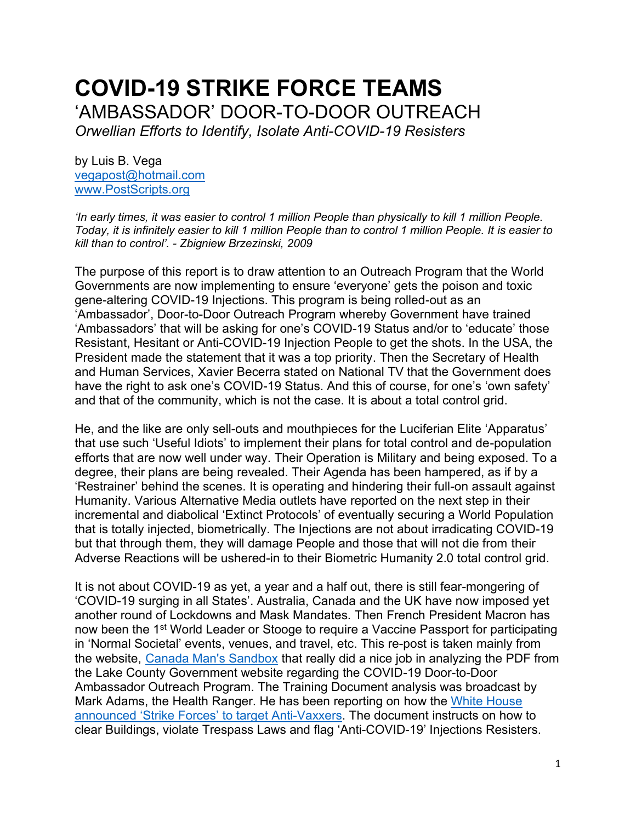# **COVID-19 STRIKE FORCE TEAMS**  'AMBASSADOR' DOOR-TO-DOOR OUTREACH *Orwellian Efforts to Identify, Isolate Anti-COVID-19 Resisters*

by Luis B. Vega [vegapost@hotmail.com](mailto:vegapost@hotmail.com) [www.PostScripts.org](http://www.postscripts.org/)

*'In early times, it was easier to control 1 million People than physically to kill 1 million People. Today, it is infinitely easier to kill 1 million People than to control 1 million People. It is easier to kill than to control'. - Zbigniew Brzezinski, 2009*

The purpose of this report is to draw attention to an Outreach Program that the World Governments are now implementing to ensure 'everyone' gets the poison and toxic gene-altering COVID-19 Injections. This program is being rolled-out as an 'Ambassador', Door-to-Door Outreach Program whereby Government have trained 'Ambassadors' that will be asking for one's COVID-19 Status and/or to 'educate' those Resistant, Hesitant or Anti-COVID-19 Injection People to get the shots. In the USA, the President made the statement that it was a top priority. Then the Secretary of Health and Human Services, Xavier Becerra stated on National TV that the Government does have the right to ask one's COVID-19 Status. And this of course, for one's 'own safety' and that of the community, which is not the case. It is about a total control grid.

He, and the like are only sell-outs and mouthpieces for the Luciferian Elite 'Apparatus' that use such 'Useful Idiots' to implement their plans for total control and de-population efforts that are now well under way. Their Operation is Military and being exposed. To a degree, their plans are being revealed. Their Agenda has been hampered, as if by a 'Restrainer' behind the scenes. It is operating and hindering their full-on assault against Humanity. Various Alternative Media outlets have reported on the next step in their incremental and diabolical 'Extinct Protocols' of eventually securing a World Population that is totally injected, biometrically. The Injections are not about irradicating COVID-19 but that through them, they will damage People and those that will not die from their Adverse Reactions will be ushered-in to their Biometric Humanity 2.0 total control grid.

It is not about COVID-19 as yet, a year and a half out, there is still fear-mongering of 'COVID-19 surging in all States'. Australia, Canada and the UK have now imposed yet another round of Lockdowns and Mask Mandates. Then French President Macron has now been the 1<sup>st</sup> World Leader or Stooge to require a Vaccine Passport for participating in 'Normal Societal' events, venues, and travel, etc. This re-post is taken mainly from the website, [Canada Man's Sandbox](https://canadianmale.wordpress.com/) that really did a nice job in analyzing the PDF from the Lake County Government website regarding the COVID-19 Door-to-Door Ambassador Outreach Program. The Training Document analysis was broadcast by Mark Adams, the Health Ranger. He has been reporting on how the [White House](https://www.brighteon.com/c8f43058-72b2-4759-85ff-a98788fde381)  announced 'Strike Forces' [to target Anti-Vaxxers.](https://www.brighteon.com/c8f43058-72b2-4759-85ff-a98788fde381) The document instructs on how to clear Buildings, violate Trespass Laws and flag 'Anti-COVID-19' Injections Resisters.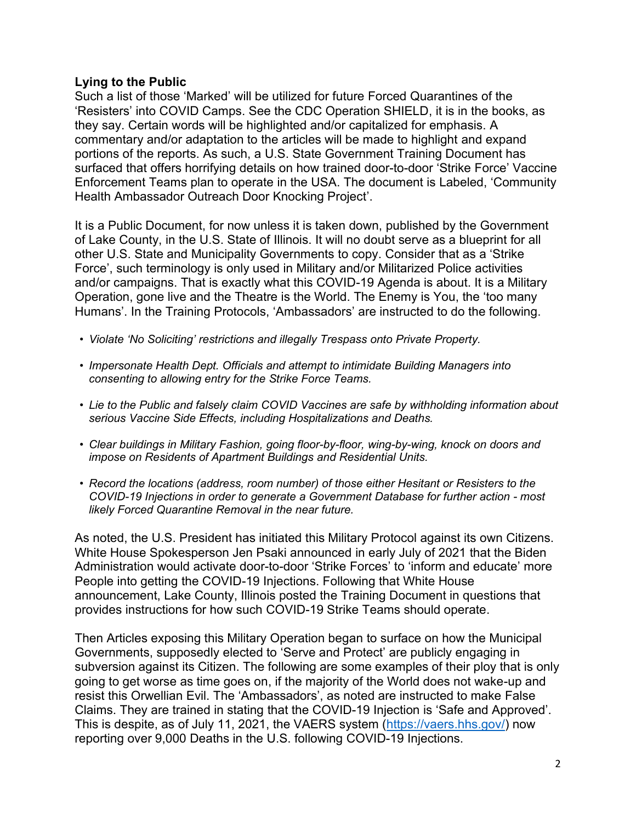#### **Lying to the Public**

Such a list of those 'Marked' will be utilized for future Forced Quarantines of the 'Resisters' into COVID Camps. See the CDC Operation SHIELD, it is in the books, as they say. Certain words will be highlighted and/or capitalized for emphasis. A commentary and/or adaptation to the articles will be made to highlight and expand portions of the reports. As such, a U.S. State Government Training Document has surfaced that offers horrifying details on how trained door-to-door 'Strike Force' Vaccine Enforcement Teams plan to operate in the USA. The document is Labeled, 'Community Health Ambassador Outreach Door Knocking Project'.

It is a Public Document, for now unless it is taken down, published by the Government of Lake County, in the U.S. State of Illinois. It will no doubt serve as a blueprint for all other U.S. State and Municipality Governments to copy. Consider that as a 'Strike Force', such terminology is only used in Military and/or Militarized Police activities and/or campaigns. That is exactly what this COVID-19 Agenda is about. It is a Military Operation, gone live and the Theatre is the World. The Enemy is You, the 'too many Humans'. In the Training Protocols, 'Ambassadors' are instructed to do the following.

- *Violate 'No Soliciting' restrictions and illegally Trespass onto Private Property.*
- *Impersonate Health Dept. Officials and attempt to intimidate Building Managers into consenting to allowing entry for the Strike Force Teams.*
- *Lie to the Public and falsely claim COVID Vaccines are safe by withholding information about serious Vaccine Side Effects, including Hospitalizations and Deaths.*
- *Clear buildings in Military Fashion, going floor-by-floor, wing-by-wing, knock on doors and impose on Residents of Apartment Buildings and Residential Units.*
- *Record the locations (address, room number) of those either Hesitant or Resisters to the COVID-19 Injections in order to generate a Government Database for further action - most likely Forced Quarantine Removal in the near future.*

As noted, the U.S. President has initiated this Military Protocol against its own Citizens. White House Spokesperson Jen Psaki announced in early July of 2021 that the Biden Administration would activate door-to-door 'Strike Forces' to 'inform and educate' more People into getting the COVID-19 Injections. Following that White House announcement, Lake County, Illinois posted the Training Document in questions that provides instructions for how such COVID-19 Strike Teams should operate.

Then Articles exposing this Military Operation began to surface on how the Municipal Governments, supposedly elected to 'Serve and Protect' are publicly engaging in subversion against its Citizen. The following are some examples of their ploy that is only going to get worse as time goes on, if the majority of the World does not wake-up and resist this Orwellian Evil. The 'Ambassadors', as noted are instructed to make False Claims. They are trained in stating that the COVID-19 Injection is 'Safe and Approved'. This is despite, as of July 11, 2021, the VAERS system [\(https://vaers.hhs.gov/\)](https://vaers.hhs.gov/) now reporting over 9,000 Deaths in the U.S. following COVID-19 Injections.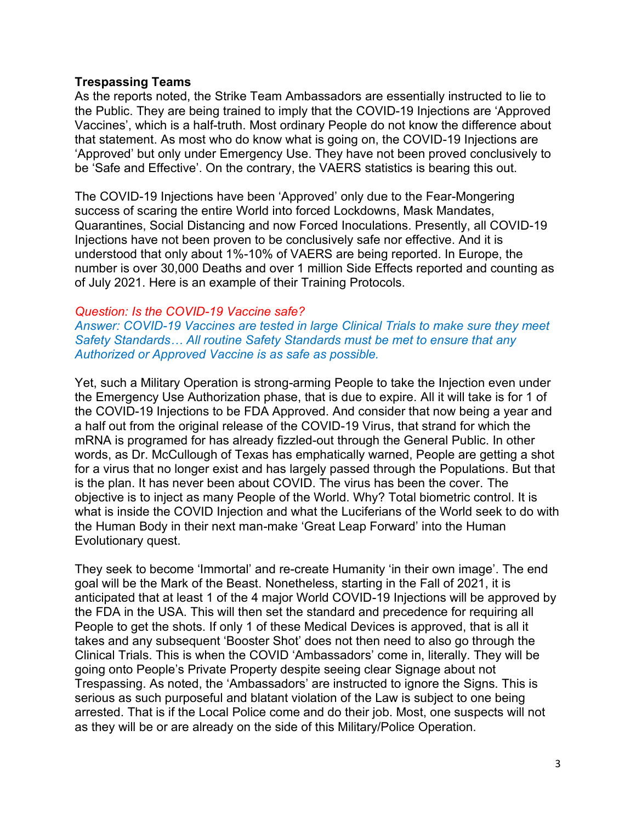#### **Trespassing Teams**

As the reports noted, the Strike Team Ambassadors are essentially instructed to lie to the Public. They are being trained to imply that the COVID-19 Injections are 'Approved Vaccines', which is a half-truth. Most ordinary People do not know the difference about that statement. As most who do know what is going on, the COVID-19 Injections are 'Approved' but only under Emergency Use. They have not been proved conclusively to be 'Safe and Effective'. On the contrary, the VAERS statistics is bearing this out.

The COVID-19 Injections have been 'Approved' only due to the Fear-Mongering success of scaring the entire World into forced Lockdowns, Mask Mandates, Quarantines, Social Distancing and now Forced Inoculations. Presently, all COVID-19 Injections have not been proven to be conclusively safe nor effective. And it is understood that only about 1%-10% of VAERS are being reported. In Europe, the number is over 30,000 Deaths and over 1 million Side Effects reported and counting as of July 2021. Here is an example of their Training Protocols.

#### *Question: Is the COVID-19 Vaccine safe?*

*Answer: COVID-19 Vaccines are tested in large Clinical Trials to make sure they meet Safety Standards… All routine Safety Standards must be met to ensure that any Authorized or Approved Vaccine is as safe as possible.*

Yet, such a Military Operation is strong-arming People to take the Injection even under the Emergency Use Authorization phase, that is due to expire. All it will take is for 1 of the COVID-19 Injections to be FDA Approved. And consider that now being a year and a half out from the original release of the COVID-19 Virus, that strand for which the mRNA is programed for has already fizzled-out through the General Public. In other words, as Dr. McCullough of Texas has emphatically warned, People are getting a shot for a virus that no longer exist and has largely passed through the Populations. But that is the plan. It has never been about COVID. The virus has been the cover. The objective is to inject as many People of the World. Why? Total biometric control. It is what is inside the COVID Injection and what the Luciferians of the World seek to do with the Human Body in their next man-make 'Great Leap Forward' into the Human Evolutionary quest.

They seek to become 'Immortal' and re-create Humanity 'in their own image'. The end goal will be the Mark of the Beast. Nonetheless, starting in the Fall of 2021, it is anticipated that at least 1 of the 4 major World COVID-19 Injections will be approved by the FDA in the USA. This will then set the standard and precedence for requiring all People to get the shots. If only 1 of these Medical Devices is approved, that is all it takes and any subsequent 'Booster Shot' does not then need to also go through the Clinical Trials. This is when the COVID 'Ambassadors' come in, literally. They will be going onto People's Private Property despite seeing clear Signage about not Trespassing. As noted, the 'Ambassadors' are instructed to ignore the Signs. This is serious as such purposeful and blatant violation of the Law is subject to one being arrested. That is if the Local Police come and do their job. Most, one suspects will not as they will be or are already on the side of this Military/Police Operation.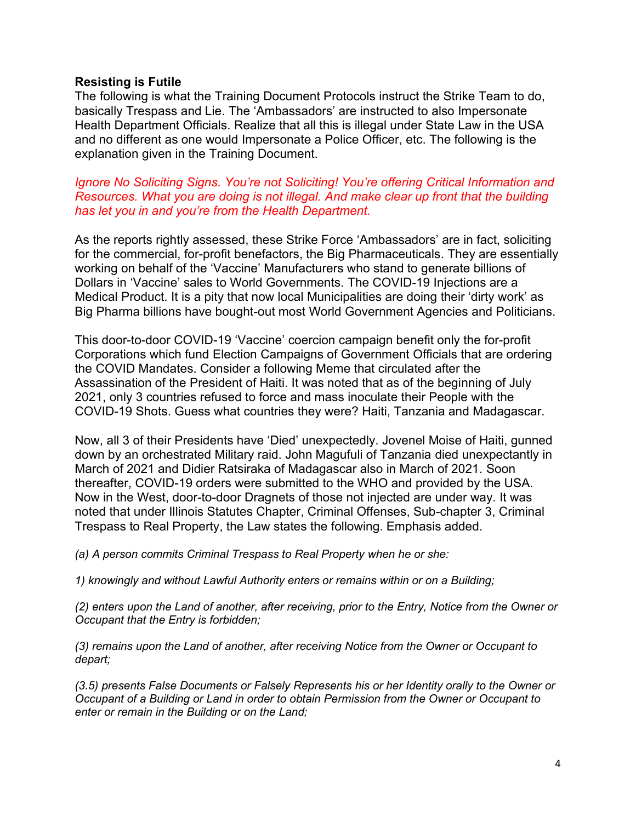#### **Resisting is Futile**

The following is what the Training Document Protocols instruct the Strike Team to do, basically Trespass and Lie. The 'Ambassadors' are instructed to also Impersonate Health Department Officials. Realize that all this is illegal under State Law in the USA and no different as one would Impersonate a Police Officer, etc. The following is the explanation given in the Training Document.

*Ignore No Soliciting Signs. You're not Soliciting! You're offering Critical Information and Resources. What you are doing is not illegal. And make clear up front that the building has let you in and you're from the Health Department.*

As the reports rightly assessed, these Strike Force 'Ambassadors' are in fact, soliciting for the commercial, for-profit benefactors, the Big Pharmaceuticals. They are essentially working on behalf of the 'Vaccine' Manufacturers who stand to generate billions of Dollars in 'Vaccine' sales to World Governments. The COVID-19 Injections are a Medical Product. It is a pity that now local Municipalities are doing their 'dirty work' as Big Pharma billions have bought-out most World Government Agencies and Politicians.

This door-to-door COVID-19 'Vaccine' coercion campaign benefit only the for-profit Corporations which fund Election Campaigns of Government Officials that are ordering the COVID Mandates. Consider a following Meme that circulated after the Assassination of the President of Haiti. It was noted that as of the beginning of July 2021, only 3 countries refused to force and mass inoculate their People with the COVID-19 Shots. Guess what countries they were? Haiti, Tanzania and Madagascar.

Now, all 3 of their Presidents have 'Died' unexpectedly. Jovenel Moise of Haiti, gunned down by an orchestrated Military raid. John Magufuli of Tanzania died unexpectantly in March of 2021 and Didier Ratsiraka of Madagascar also in March of 2021. Soon thereafter, COVID-19 orders were submitted to the WHO and provided by the USA. Now in the West, door-to-door Dragnets of those not injected are under way. It was noted that under Illinois Statutes Chapter, Criminal Offenses, Sub-chapter 3, Criminal Trespass to Real Property, the Law states the following. Emphasis added.

*(a) A person commits Criminal Trespass to Real Property when he or she:*

*1) knowingly and without Lawful Authority enters or remains within or on a Building;*

*(2) enters upon the Land of another, after receiving, prior to the Entry, Notice from the Owner or Occupant that the Entry is forbidden;*

*(3) remains upon the Land of another, after receiving Notice from the Owner or Occupant to depart;*

*(3.5) presents False Documents or Falsely Represents his or her Identity orally to the Owner or Occupant of a Building or Land in order to obtain Permission from the Owner or Occupant to enter or remain in the Building or on the Land;*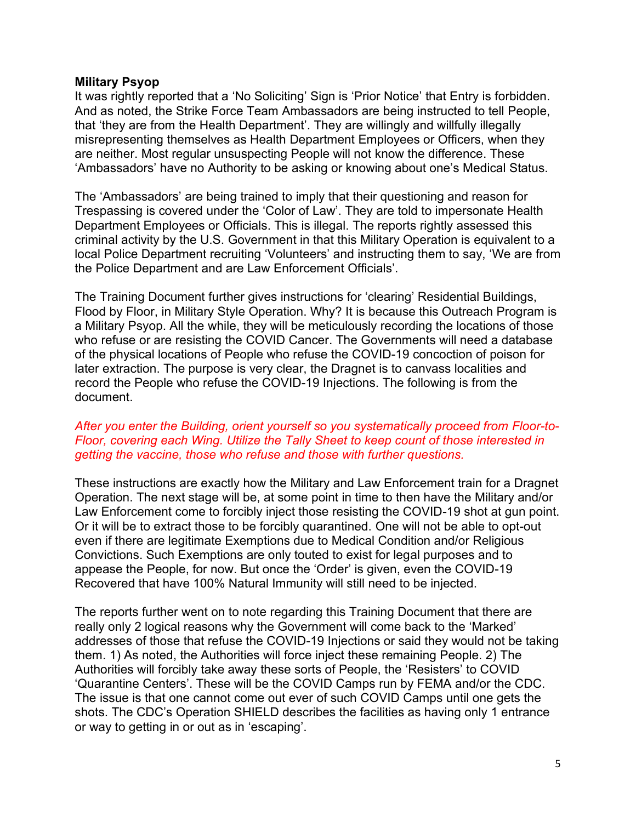#### **Military Psyop**

It was rightly reported that a 'No Soliciting' Sign is 'Prior Notice' that Entry is forbidden. And as noted, the Strike Force Team Ambassadors are being instructed to tell People, that 'they are from the Health Department'. They are willingly and willfully illegally misrepresenting themselves as Health Department Employees or Officers, when they are neither. Most regular unsuspecting People will not know the difference. These 'Ambassadors' have no Authority to be asking or knowing about one's Medical Status.

The 'Ambassadors' are being trained to imply that their questioning and reason for Trespassing is covered under the 'Color of Law'. They are told to impersonate Health Department Employees or Officials. This is illegal. The reports rightly assessed this criminal activity by the U.S. Government in that this Military Operation is equivalent to a local Police Department recruiting 'Volunteers' and instructing them to say, 'We are from the Police Department and are Law Enforcement Officials'.

The Training Document further gives instructions for 'clearing' Residential Buildings, Flood by Floor, in Military Style Operation. Why? It is because this Outreach Program is a Military Psyop. All the while, they will be meticulously recording the locations of those who refuse or are resisting the COVID Cancer. The Governments will need a database of the physical locations of People who refuse the COVID-19 concoction of poison for later extraction. The purpose is very clear, the Dragnet is to canvass localities and record the People who refuse the COVID-19 Injections. The following is from the document.

#### *After you enter the Building, orient yourself so you systematically proceed from Floor-to-Floor, covering each Wing. Utilize the Tally Sheet to keep count of those interested in getting the vaccine, those who refuse and those with further questions.*

These instructions are exactly how the Military and Law Enforcement train for a Dragnet Operation. The next stage will be, at some point in time to then have the Military and/or Law Enforcement come to forcibly inject those resisting the COVID-19 shot at gun point. Or it will be to extract those to be forcibly quarantined. One will not be able to opt-out even if there are legitimate Exemptions due to Medical Condition and/or Religious Convictions. Such Exemptions are only touted to exist for legal purposes and to appease the People, for now. But once the 'Order' is given, even the COVID-19 Recovered that have 100% Natural Immunity will still need to be injected.

The reports further went on to note regarding this Training Document that there are really only 2 logical reasons why the Government will come back to the 'Marked' addresses of those that refuse the COVID-19 Injections or said they would not be taking them. 1) As noted, the Authorities will force inject these remaining People. 2) The Authorities will forcibly take away these sorts of People, the 'Resisters' to COVID 'Quarantine Centers'. These will be the COVID Camps run by FEMA and/or the CDC. The issue is that one cannot come out ever of such COVID Camps until one gets the shots. The CDC's Operation SHIELD describes the facilities as having only 1 entrance or way to getting in or out as in 'escaping'.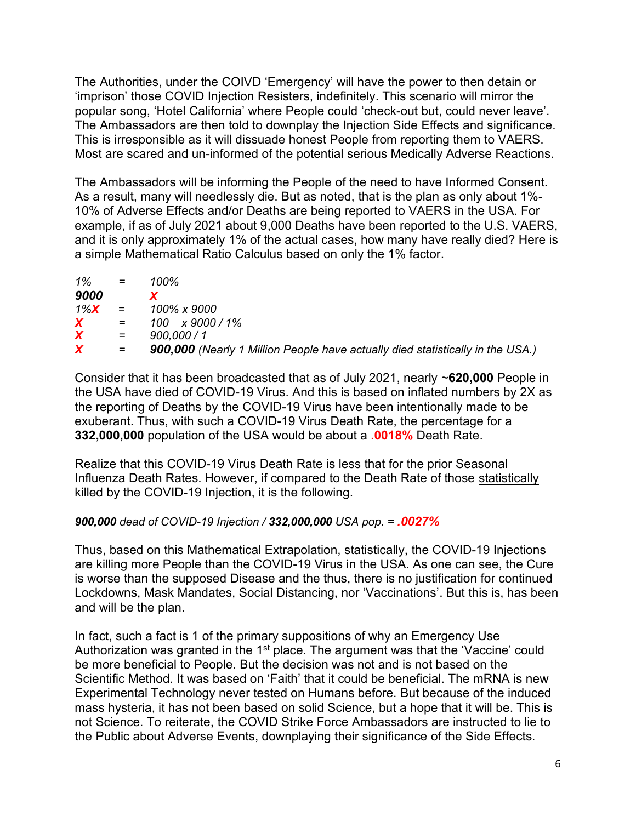The Authorities, under the COIVD 'Emergency' will have the power to then detain or 'imprison' those COVID Injection Resisters, indefinitely. This scenario will mirror the popular song, 'Hotel California' where People could 'check-out but, could never leave'. The Ambassadors are then told to downplay the Injection Side Effects and significance. This is irresponsible as it will dissuade honest People from reporting them to VAERS. Most are scared and un-informed of the potential serious Medically Adverse Reactions.

The Ambassadors will be informing the People of the need to have Informed Consent. As a result, many will needlessly die. But as noted, that is the plan as only about 1%- 10% of Adverse Effects and/or Deaths are being reported to VAERS in the USA. For example, if as of July 2021 about 9,000 Deaths have been reported to the U.S. VAERS, and it is only approximately 1% of the actual cases, how many have really died? Here is a simple Mathematical Ratio Calculus based on only the 1% factor.

| $1\%$            | $\mathcal{L} = \mathcal{L}$ | 100%                                                                           |
|------------------|-----------------------------|--------------------------------------------------------------------------------|
| 9000             |                             |                                                                                |
| $1\%X =$         |                             | 100% x 9000                                                                    |
| $\boldsymbol{X}$ | $=$                         | $100 \times 9000 / 1\%$                                                        |
| $\boldsymbol{X}$ | $=$                         | 900.000 / 1                                                                    |
| X.               | $=$                         | 900,000 (Nearly 1 Million People have actually died statistically in the USA.) |

Consider that it has been broadcasted that as of July 2021, nearly ~**620,000** People in the USA have died of COVID-19 Virus. And this is based on inflated numbers by 2X as the reporting of Deaths by the COVID-19 Virus have been intentionally made to be exuberant. Thus, with such a COVID-19 Virus Death Rate, the percentage for a **332,000,000** population of the USA would be about a **.0018%** Death Rate.

Realize that this COVID-19 Virus Death Rate is less that for the prior Seasonal Influenza Death Rates. However, if compared to the Death Rate of those statistically killed by the COVID-19 Injection, it is the following.

## *900,000 dead of COVID-19 Injection / 332,000,000 USA pop. = .0027%*

Thus, based on this Mathematical Extrapolation, statistically, the COVID-19 Injections are killing more People than the COVID-19 Virus in the USA. As one can see, the Cure is worse than the supposed Disease and the thus, there is no justification for continued Lockdowns, Mask Mandates, Social Distancing, nor 'Vaccinations'. But this is, has been and will be the plan.

In fact, such a fact is 1 of the primary suppositions of why an Emergency Use Authorization was granted in the 1<sup>st</sup> place. The argument was that the 'Vaccine' could be more beneficial to People. But the decision was not and is not based on the Scientific Method. It was based on 'Faith' that it could be beneficial. The mRNA is new Experimental Technology never tested on Humans before. But because of the induced mass hysteria, it has not been based on solid Science, but a hope that it will be. This is not Science. To reiterate, the COVID Strike Force Ambassadors are instructed to lie to the Public about Adverse Events, downplaying their significance of the Side Effects.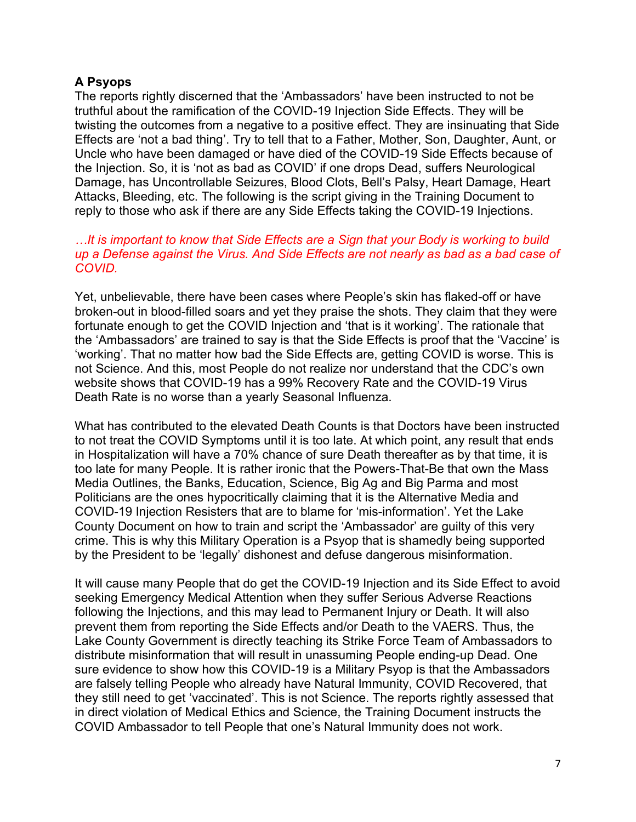## **A Psyops**

The reports rightly discerned that the 'Ambassadors' have been instructed to not be truthful about the ramification of the COVID-19 Injection Side Effects. They will be twisting the outcomes from a negative to a positive effect. They are insinuating that Side Effects are 'not a bad thing'. Try to tell that to a Father, Mother, Son, Daughter, Aunt, or Uncle who have been damaged or have died of the COVID-19 Side Effects because of the Injection. So, it is 'not as bad as COVID' if one drops Dead, suffers Neurological Damage, has Uncontrollable Seizures, Blood Clots, Bell's Palsy, Heart Damage, Heart Attacks, Bleeding, etc. The following is the script giving in the Training Document to reply to those who ask if there are any Side Effects taking the COVID-19 Injections.

## *…It is important to know that Side Effects are a Sign that your Body is working to build up a Defense against the Virus. And Side Effects are not nearly as bad as a bad case of COVID.*

Yet, unbelievable, there have been cases where People's skin has flaked-off or have broken-out in blood-filled soars and yet they praise the shots. They claim that they were fortunate enough to get the COVID Injection and 'that is it working'. The rationale that the 'Ambassadors' are trained to say is that the Side Effects is proof that the 'Vaccine' is 'working'. That no matter how bad the Side Effects are, getting COVID is worse. This is not Science. And this, most People do not realize nor understand that the CDC's own website shows that COVID-19 has a 99% Recovery Rate and the COVID-19 Virus Death Rate is no worse than a yearly Seasonal Influenza.

What has contributed to the elevated Death Counts is that Doctors have been instructed to not treat the COVID Symptoms until it is too late. At which point, any result that ends in Hospitalization will have a 70% chance of sure Death thereafter as by that time, it is too late for many People. It is rather ironic that the Powers-That-Be that own the Mass Media Outlines, the Banks, Education, Science, Big Ag and Big Parma and most Politicians are the ones hypocritically claiming that it is the Alternative Media and COVID-19 Injection Resisters that are to blame for 'mis-information'. Yet the Lake County Document on how to train and script the 'Ambassador' are guilty of this very crime. This is why this Military Operation is a Psyop that is shamedly being supported by the President to be 'legally' dishonest and defuse dangerous misinformation.

It will cause many People that do get the COVID-19 Injection and its Side Effect to avoid seeking Emergency Medical Attention when they suffer Serious Adverse Reactions following the Injections, and this may lead to Permanent Injury or Death. It will also prevent them from reporting the Side Effects and/or Death to the VAERS. Thus, the Lake County Government is directly teaching its Strike Force Team of Ambassadors to distribute misinformation that will result in unassuming People ending-up Dead. One sure evidence to show how this COVID-19 is a Military Psyop is that the Ambassadors are falsely telling People who already have Natural Immunity, COVID Recovered, that they still need to get 'vaccinated'. This is not Science. The reports rightly assessed that in direct violation of Medical Ethics and Science, the Training Document instructs the COVID Ambassador to tell People that one's Natural Immunity does not work.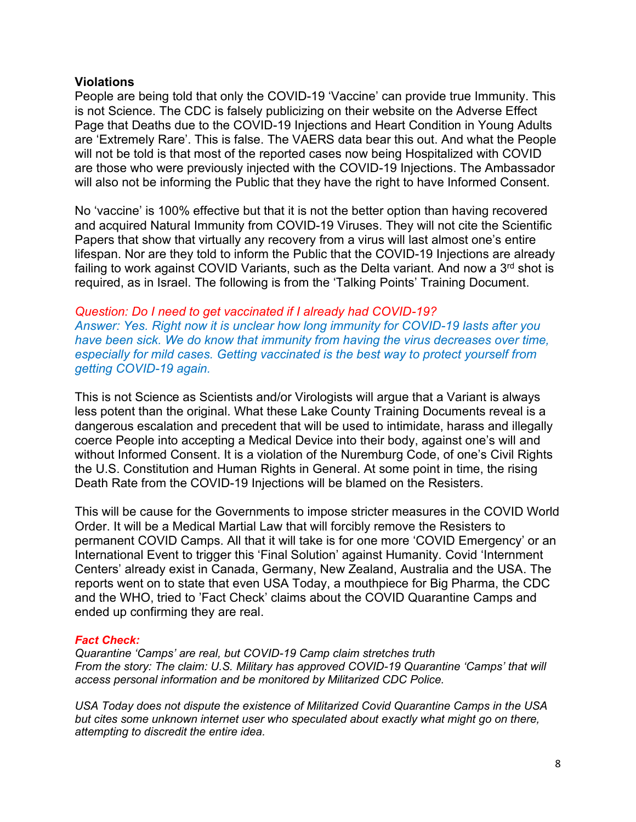#### **Violations**

People are being told that only the COVID-19 'Vaccine' can provide true Immunity. This is not Science. The CDC is falsely publicizing on their website on the Adverse Effect Page that Deaths due to the COVID-19 Injections and Heart Condition in Young Adults are 'Extremely Rare'. This is false. The VAERS data bear this out. And what the People will not be told is that most of the reported cases now being Hospitalized with COVID are those who were previously injected with the COVID-19 Injections. The Ambassador will also not be informing the Public that they have the right to have Informed Consent.

No 'vaccine' is 100% effective but that it is not the better option than having recovered and acquired Natural Immunity from COVID-19 Viruses. They will not cite the Scientific Papers that show that virtually any recovery from a virus will last almost one's entire lifespan. Nor are they told to inform the Public that the COVID-19 Injections are already failing to work against COVID Variants, such as the Delta variant. And now a  $3<sup>rd</sup>$  shot is required, as in Israel. The following is from the 'Talking Points' Training Document.

*Question: Do I need to get vaccinated if I already had COVID-19? Answer: Yes. Right now it is unclear how long immunity for COVID-19 lasts after you have been sick. We do know that immunity from having the virus decreases over time, especially for mild cases. Getting vaccinated is the best way to protect yourself from getting COVID-19 again.*

This is not Science as Scientists and/or Virologists will argue that a Variant is always less potent than the original. What these Lake County Training Documents reveal is a dangerous escalation and precedent that will be used to intimidate, harass and illegally coerce People into accepting a Medical Device into their body, against one's will and without Informed Consent. It is a violation of the Nuremburg Code, of one's Civil Rights the U.S. Constitution and Human Rights in General. At some point in time, the rising Death Rate from the COVID-19 Injections will be blamed on the Resisters.

This will be cause for the Governments to impose stricter measures in the COVID World Order. It will be a Medical Martial Law that will forcibly remove the Resisters to permanent COVID Camps. All that it will take is for one more 'COVID Emergency' or an International Event to trigger this 'Final Solution' against Humanity. Covid 'Internment Centers' already exist in Canada, Germany, New Zealand, Australia and the USA. The reports went on to state that even USA Today, a mouthpiece for Big Pharma, the CDC and the WHO, tried to 'Fact Check' claims about the COVID Quarantine Camps and ended up confirming they are real.

#### *Fact Check:*

*Quarantine 'Camps' are real, but COVID-19 Camp claim stretches truth From the story: The claim: U.S. Military has approved COVID-19 Quarantine 'Camps' that will access personal information and be monitored by Militarized CDC Police.*

*USA Today does not dispute the existence of Militarized Covid Quarantine Camps in the USA but cites some unknown internet user who speculated about exactly what might go on there, attempting to discredit the entire idea.*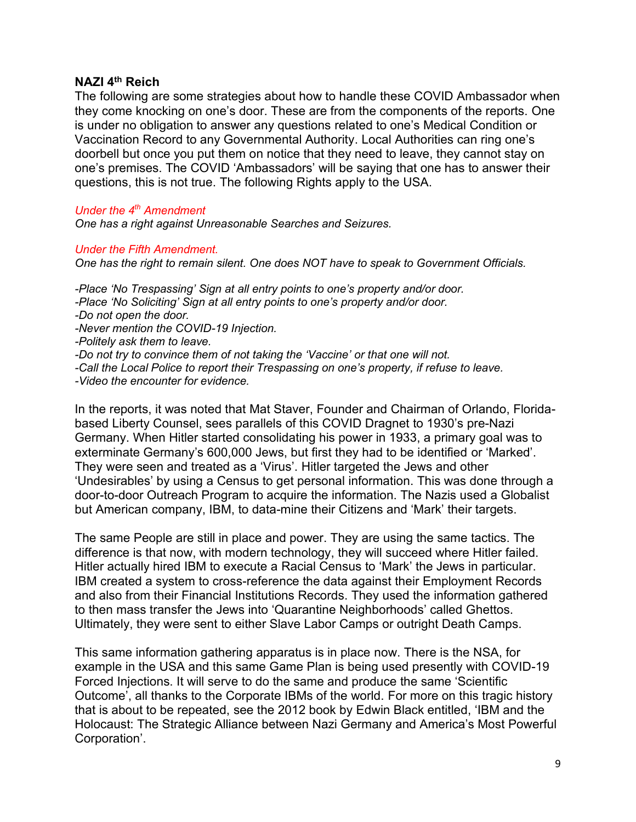#### **NAZI 4th Reich**

The following are some strategies about how to handle these COVID Ambassador when they come knocking on one's door. These are from the components of the reports. One is under no obligation to answer any questions related to one's Medical Condition or Vaccination Record to any Governmental Authority. Local Authorities can ring one's doorbell but once you put them on notice that they need to leave, they cannot stay on one's premises. The COVID 'Ambassadors' will be saying that one has to answer their questions, this is not true. The following Rights apply to the USA.

#### *Under the 4th Amendment*

*One has a right against Unreasonable Searches and Seizures.* 

#### *Under the Fifth Amendment.*

*One has the right to remain silent. One does NOT have to speak to Government Officials.*

*-Place 'No Trespassing' Sign at all entry points to one's property and/or door. -Place 'No Soliciting' Sign at all entry points to one's property and/or door. -Do not open the door. -Never mention the COVID-19 Injection. -Politely ask them to leave. -Do not try to convince them of not taking the 'Vaccine' or that one will not. -Call the Local Police to report their Trespassing on one's property, if refuse to leave. -Video the encounter for evidence.*

In the reports, it was noted that Mat Staver, Founder and Chairman of Orlando, Floridabased Liberty Counsel, sees parallels of this COVID Dragnet to 1930's pre-Nazi Germany. When Hitler started consolidating his power in 1933, a primary goal was to exterminate Germany's 600,000 Jews, but first they had to be identified or 'Marked'. They were seen and treated as a 'Virus'. Hitler targeted the Jews and other 'Undesirables' by using a Census to get personal information. This was done through a door-to-door Outreach Program to acquire the information. The Nazis used a Globalist but American company, IBM, to data-mine their Citizens and 'Mark' their targets.

The same People are still in place and power. They are using the same tactics. The difference is that now, with modern technology, they will succeed where Hitler failed. Hitler actually hired IBM to execute a Racial Census to 'Mark' the Jews in particular. IBM created a system to cross-reference the data against their Employment Records and also from their Financial Institutions Records. They used the information gathered to then mass transfer the Jews into 'Quarantine Neighborhoods' called Ghettos. Ultimately, they were sent to either Slave Labor Camps or outright Death Camps.

This same information gathering apparatus is in place now. There is the NSA, for example in the USA and this same Game Plan is being used presently with COVID-19 Forced Injections. It will serve to do the same and produce the same 'Scientific Outcome', all thanks to the Corporate IBMs of the world. For more on this tragic history that is about to be repeated, see the 2012 book by Edwin Black entitled, 'IBM and the Holocaust: The Strategic Alliance between Nazi Germany and America's Most Powerful Corporation'.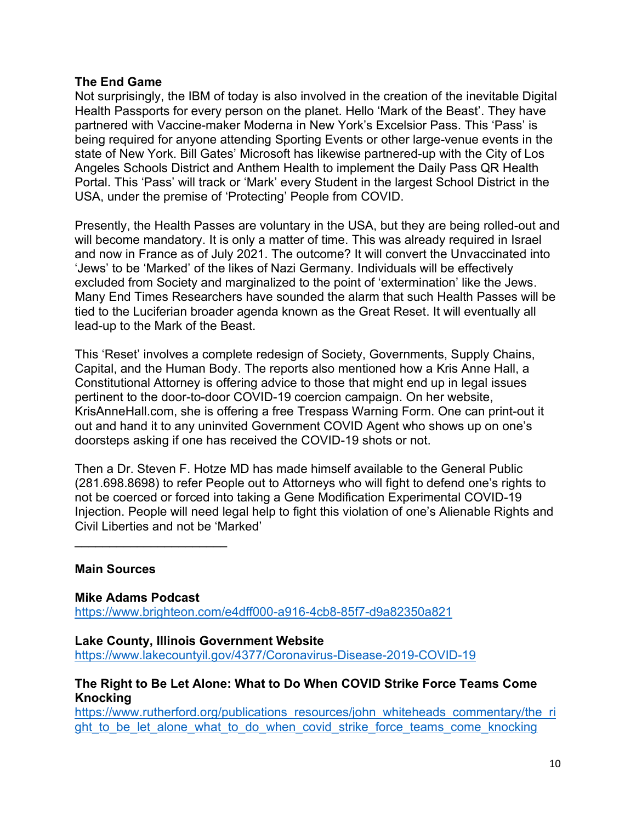## **The End Game**

Not surprisingly, the IBM of today is also involved in the creation of the inevitable Digital Health Passports for every person on the planet. Hello 'Mark of the Beast'. They have partnered with Vaccine-maker Moderna in New York's Excelsior Pass. This 'Pass' is being required for anyone attending Sporting Events or other large-venue events in the state of New York. Bill Gates' Microsoft has likewise partnered-up with the City of Los Angeles Schools District and Anthem Health to implement the Daily Pass QR Health Portal. This 'Pass' will track or 'Mark' every Student in the largest School District in the USA, under the premise of 'Protecting' People from COVID.

Presently, the Health Passes are voluntary in the USA, but they are being rolled-out and will become mandatory. It is only a matter of time. This was already required in Israel and now in France as of July 2021. The outcome? It will convert the Unvaccinated into 'Jews' to be 'Marked' of the likes of Nazi Germany. Individuals will be effectively excluded from Society and marginalized to the point of 'extermination' like the Jews. Many End Times Researchers have sounded the alarm that such Health Passes will be tied to the Luciferian broader agenda known as the Great Reset. It will eventually all lead-up to the Mark of the Beast.

This 'Reset' involves a complete redesign of Society, Governments, Supply Chains, Capital, and the Human Body. The reports also mentioned how a Kris Anne Hall, a Constitutional Attorney is offering advice to those that might end up in legal issues pertinent to the door-to-door COVID-19 coercion campaign. On her website, KrisAnneHall.com, she is offering a free Trespass Warning Form. One can print-out it out and hand it to any uninvited Government COVID Agent who shows up on one's doorsteps asking if one has received the COVID-19 shots or not.

Then a Dr. Steven F. Hotze MD has made himself available to the General Public (281.698.8698) to refer People out to Attorneys who will fight to defend one's rights to not be coerced or forced into taking a Gene Modification Experimental COVID-19 Injection. People will need legal help to fight this violation of one's Alienable Rights and Civil Liberties and not be 'Marked'

## **Main Sources**

 $\mathcal{L}_\text{max}$  , where  $\mathcal{L}_\text{max}$  , we have the set of the set of the set of the set of the set of the set of the set of the set of the set of the set of the set of the set of the set of the set of the set of the set of

**Mike Adams Podcast**  <https://www.brighteon.com/e4dff000-a916-4cb8-85f7-d9a82350a821>

**Lake County, Illinois Government Website**

<https://www.lakecountyil.gov/4377/Coronavirus-Disease-2019-COVID-19>

## **The Right to Be Let Alone: What to Do When COVID Strike Force Teams Come Knocking**

[https://www.rutherford.org/publications\\_resources/john\\_whiteheads\\_commentary/the\\_ri](https://www.rutherford.org/publications_resources/john_whiteheads_commentary/the_right_to_be_let_alone_what_to_do_when_covid_strike_force_teams_come_knocking) ght to be let alone what to do when covid strike force teams come knocking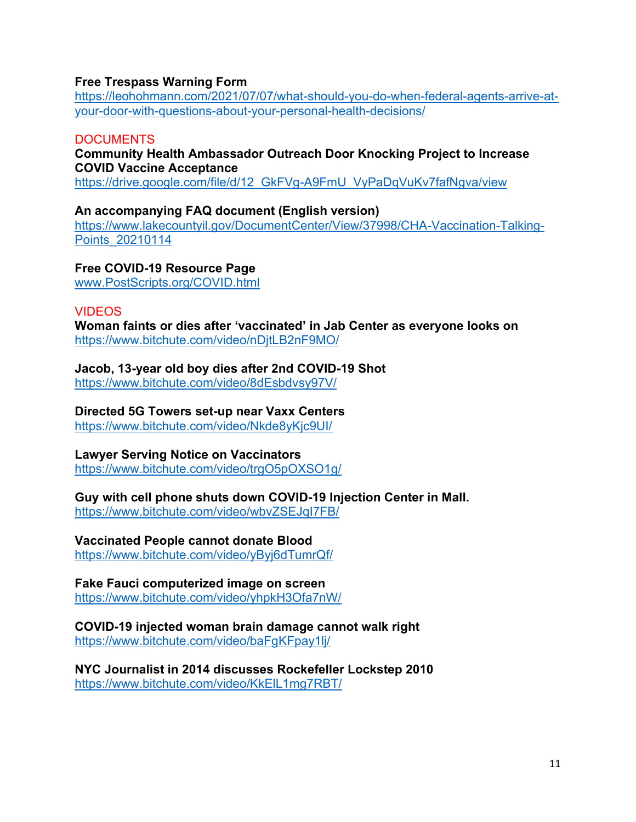## **Free Trespass Warning Form**

[https://leohohmann.com/2021/07/07/what-should-you-do-when-federal-agents-arrive-at](https://leohohmann.com/2021/07/07/what-should-you-do-when-federal-agents-arrive-at-your-door-with-questions-about-your-personal-health-decisions/)[your-door-with-questions-about-your-personal-health-decisions/](https://leohohmann.com/2021/07/07/what-should-you-do-when-federal-agents-arrive-at-your-door-with-questions-about-your-personal-health-decisions/)

## **DOCUMENTS**

## **Community Health Ambassador Outreach Door Knocking Project to Increase COVID Vaccine Acceptance**

[https://drive.google.com/file/d/12\\_GkFVg-A9FmU\\_VyPaDqVuKv7fafNgva/view](https://drive.google.com/file/d/12_GkFVg-A9FmU_VyPaDqVuKv7fafNgva/view)

## **An accompanying FAQ document (English version)**

[https://www.lakecountyil.gov/DocumentCenter/View/37998/CHA-Vaccination-Talking-](https://www.lakecountyil.gov/DocumentCenter/View/37998/CHA-Vaccination-Talking-Points_20210114)[Points\\_20210114](https://www.lakecountyil.gov/DocumentCenter/View/37998/CHA-Vaccination-Talking-Points_20210114)

# **Free COVID-19 Resource Page**

[www.PostScripts.org/COVID.html](http://www.postscripts.org/COVID.html) 

## VIDEOS

**Woman faints or dies after 'vaccinated' in Jab Center as everyone looks on** <https://www.bitchute.com/video/nDjtLB2nF9MO/>

# **Jacob, 13-year old boy dies after 2nd COVID-19 Shot**

<https://www.bitchute.com/video/8dEsbdvsy97V/>

## **Directed 5G Towers set-up near Vaxx Centers**

<https://www.bitchute.com/video/Nkde8yKjc9UI/>

## **Lawyer Serving Notice on Vaccinators**

<https://www.bitchute.com/video/trgO5pOXSO1g/>

# **Guy with cell phone shuts down COVID-19 Injection Center in Mall.**

<https://www.bitchute.com/video/wbvZSEJqI7FB/>

## **Vaccinated People cannot donate Blood**

<https://www.bitchute.com/video/yByj6dTumrQf/>

## **Fake Fauci computerized image on screen**

<https://www.bitchute.com/video/yhpkH3Ofa7nW/>

## **COVID-19 injected woman brain damage cannot walk right** <https://www.bitchute.com/video/baFgKFpay1lj/>

**NYC Journalist in 2014 discusses Rockefeller Lockstep 2010** <https://www.bitchute.com/video/KkElL1mg7RBT/>